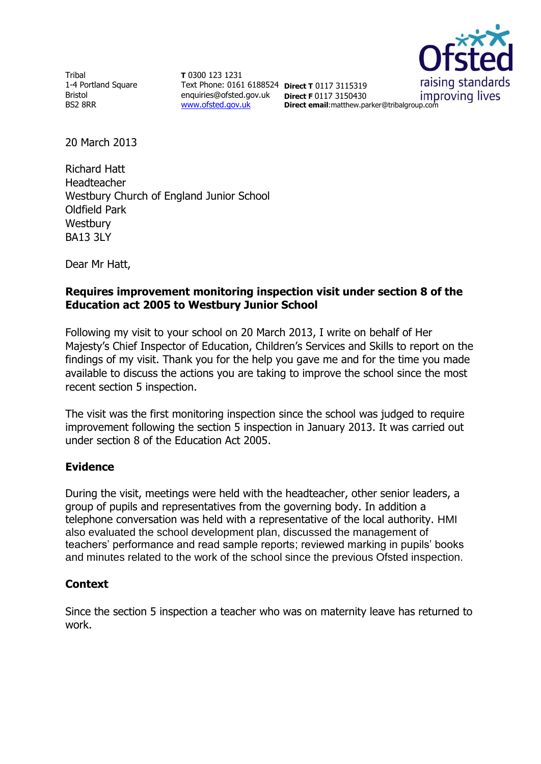Tribal 1-4 Portland Square Bristol BS2 8RR

**T** 0300 123 1231 Text Phone: 0161 6188524 **Direct T** 0117 3115319 enquiries@ofsted.gov.uk **Direct F** 0117 3150430 [www.ofsted.gov.uk](http://www.ofsted.gov.uk/)

raising standards improving lives

**Direct email**:matthew.parker@tribalgroup.com

20 March 2013

Richard Hatt Headteacher Westbury Church of England Junior School Oldfield Park **Westbury** BA13 3LY

Dear Mr Hatt,

### **Requires improvement monitoring inspection visit under section 8 of the Education act 2005 to Westbury Junior School**

Following my visit to your school on 20 March 2013, I write on behalf of Her Majesty's Chief Inspector of Education, Children's Services and Skills to report on the findings of my visit. Thank you for the help you gave me and for the time you made available to discuss the actions you are taking to improve the school since the most recent section 5 inspection.

The visit was the first monitoring inspection since the school was judged to require improvement following the section 5 inspection in January 2013. It was carried out under section 8 of the Education Act 2005.

#### **Evidence**

During the visit, meetings were held with the headteacher, other senior leaders, a group of pupils and representatives from the governing body. In addition a telephone conversation was held with a representative of the local authority. HMI also evaluated the school development plan, discussed the management of teachers' performance and read sample reports; reviewed marking in pupils' books and minutes related to the work of the school since the previous Ofsted inspection.

#### **Context**

Since the section 5 inspection a teacher who was on maternity leave has returned to work.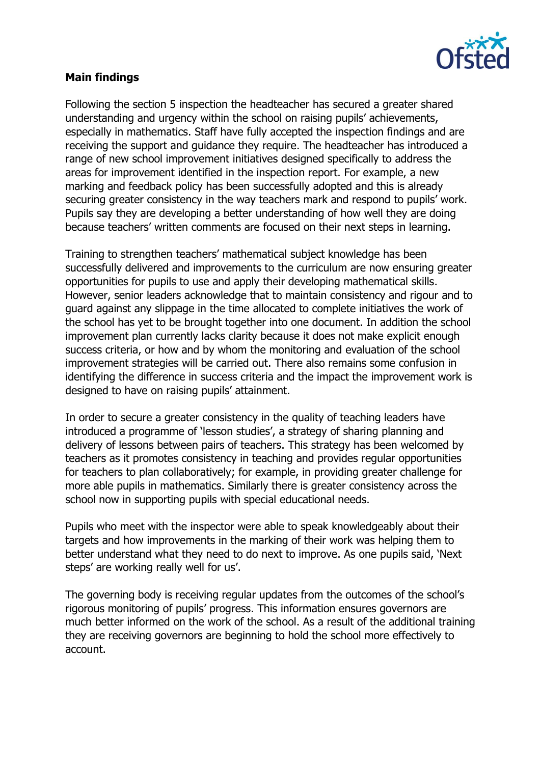

## **Main findings**

Following the section 5 inspection the headteacher has secured a greater shared understanding and urgency within the school on raising pupils' achievements, especially in mathematics. Staff have fully accepted the inspection findings and are receiving the support and guidance they require. The headteacher has introduced a range of new school improvement initiatives designed specifically to address the areas for improvement identified in the inspection report. For example, a new marking and feedback policy has been successfully adopted and this is already securing greater consistency in the way teachers mark and respond to pupils' work. Pupils say they are developing a better understanding of how well they are doing because teachers' written comments are focused on their next steps in learning.

Training to strengthen teachers' mathematical subject knowledge has been successfully delivered and improvements to the curriculum are now ensuring greater opportunities for pupils to use and apply their developing mathematical skills. However, senior leaders acknowledge that to maintain consistency and rigour and to guard against any slippage in the time allocated to complete initiatives the work of the school has yet to be brought together into one document. In addition the school improvement plan currently lacks clarity because it does not make explicit enough success criteria, or how and by whom the monitoring and evaluation of the school improvement strategies will be carried out. There also remains some confusion in identifying the difference in success criteria and the impact the improvement work is designed to have on raising pupils' attainment.

In order to secure a greater consistency in the quality of teaching leaders have introduced a programme of 'lesson studies', a strategy of sharing planning and delivery of lessons between pairs of teachers. This strategy has been welcomed by teachers as it promotes consistency in teaching and provides regular opportunities for teachers to plan collaboratively; for example, in providing greater challenge for more able pupils in mathematics. Similarly there is greater consistency across the school now in supporting pupils with special educational needs.

Pupils who meet with the inspector were able to speak knowledgeably about their targets and how improvements in the marking of their work was helping them to better understand what they need to do next to improve. As one pupils said, 'Next steps' are working really well for us'.

The governing body is receiving regular updates from the outcomes of the school's rigorous monitoring of pupils' progress. This information ensures governors are much better informed on the work of the school. As a result of the additional training they are receiving governors are beginning to hold the school more effectively to account.